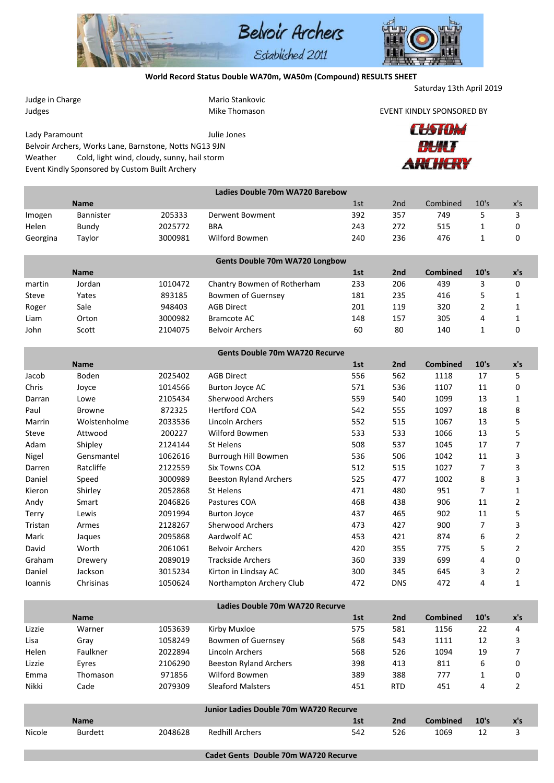

## **World Record Status Double WA70m, WA50m (Compound) RESULTS SHEET**

Saturday 13th April 2019

| Judge in Charge |                                                        |         | Mario Stankovic                               |     |                 |                           |         |     |
|-----------------|--------------------------------------------------------|---------|-----------------------------------------------|-----|-----------------|---------------------------|---------|-----|
| Judges          |                                                        |         | Mike Thomason                                 |     |                 | EVENT KINDLY SPONSORED BY |         |     |
|                 |                                                        |         |                                               |     |                 | CUSTOM                    |         |     |
| Lady Paramount  |                                                        |         | Julie Jones                                   |     |                 |                           |         |     |
|                 | Belvoir Archers, Works Lane, Barnstone, Notts NG13 9JN |         |                                               |     | ₩U              |                           |         |     |
| Weather         | Cold, light wind, cloudy, sunny, hail storm            |         |                                               |     |                 |                           | ARCHERY |     |
|                 | Event Kindly Sponsored by Custom Built Archery         |         |                                               |     |                 |                           |         |     |
|                 |                                                        |         | Ladies Double 70m WA720 Barebow               |     |                 |                           |         |     |
|                 | <b>Name</b>                                            |         |                                               | 1st | 2nd             | Combined                  | 10's    | x's |
| Imogen          | Bannister                                              | 205333  | Derwent Bowment                               | 392 | 357             | 749                       | 5       | 3   |
| Helen           | Bundy                                                  | 2025772 | <b>BRA</b>                                    | 243 | 272             | 515                       | 1       | 0   |
| Georgina        | Taylor                                                 | 3000981 | Wilford Bowmen                                | 240 | 236             | 476                       | 1       | 0   |
|                 |                                                        |         | Gents Double 70m WA720 Longbow                |     |                 |                           |         |     |
|                 | <b>Name</b>                                            |         |                                               | 1st | 2 <sub>nd</sub> | <b>Combined</b>           | 10's    | x's |
| martin          | Jordan                                                 | 1010472 | Chantry Bowmen of Rotherham                   | 233 | 206             | 439                       | 3       | 0   |
| Steve           | Yates                                                  | 893185  | Bowmen of Guernsey                            | 181 | 235             | 416                       | 5       | 1   |
| Roger           | Sale                                                   | 948403  | <b>AGB Direct</b>                             | 201 | 119             | 320                       | 2       | 1   |
| Liam            | Orton                                                  | 3000982 | <b>Bramcote AC</b>                            | 148 | 157             | 305                       | 4       | 1   |
| John            | Scott                                                  | 2104075 | <b>Belvoir Archers</b>                        | 60  | 80              | 140                       | 1       | 0   |
|                 |                                                        |         | <b>Gents Double 70m WA720 Recurve</b>         |     |                 |                           |         |     |
|                 | <b>Name</b>                                            |         |                                               | 1st | 2 <sub>nd</sub> | <b>Combined</b>           | 10's    | x's |
| Jacob           | Boden                                                  | 2025402 | <b>AGB Direct</b>                             | 556 | 562             | 1118                      | 17      | 5   |
| Chris           | Joyce                                                  | 1014566 | <b>Burton Joyce AC</b>                        | 571 | 536             | 1107                      | 11      | 0   |
| Darran          | Lowe                                                   | 2105434 | <b>Sherwood Archers</b>                       | 559 | 540             | 1099                      | 13      | 1   |
| Paul            | <b>Browne</b>                                          | 872325  | <b>Hertford COA</b>                           | 542 | 555             | 1097                      | 18      | 8   |
| Marrin          | Wolstenholme                                           | 2033536 | Lincoln Archers                               | 552 | 515             | 1067                      | 13      | 5   |
| Steve           | Attwood                                                | 200227  | Wilford Bowmen                                | 533 | 533             | 1066                      | 13      | 5   |
| Adam            | Shipley                                                | 2124144 | St Helens                                     | 508 | 537             | 1045                      | 17      | 7   |
| Nigel           | Gensmantel                                             | 1062616 | Burrough Hill Bowmen                          | 536 | 506             | 1042                      | 11      | 3   |
| Darren          | Ratcliffe                                              | 2122559 | <b>Six Towns COA</b>                          | 512 | 515             | 1027                      | 7       | 3   |
| Daniel          | Speed                                                  | 3000989 | <b>Beeston Ryland Archers</b>                 | 525 | 477             | 1002                      | 8       | 3   |
| Kieron          | Shirley                                                | 2052868 | St Helens                                     | 471 | 480             | 951                       | 7       | 1   |
| Andy            | Smart                                                  | 2046826 | Pastures COA                                  | 468 | 438             | 906                       | 11      | 2   |
| Terry           | Lewis                                                  | 2091994 | <b>Burton Joyce</b>                           | 437 | 465             | 902                       | 11      | 5   |
| Tristan         | Armes                                                  | 2128267 | <b>Sherwood Archers</b>                       | 473 | 427             | 900                       | 7       | 3   |
| Mark            | Jaques                                                 | 2095868 | Aardwolf AC                                   | 453 | 421             | 874                       | 6       | 2   |
| David           | Worth                                                  | 2061061 | <b>Belvoir Archers</b>                        | 420 | 355             | 775                       | 5       | 2   |
| Graham          | Drewery                                                | 2089019 | <b>Trackside Archers</b>                      | 360 | 339             | 699                       | 4       | 0   |
| Daniel          | Jackson                                                | 3015234 | Kirton in Lindsay AC                          | 300 | 345             | 645                       | 3       | 2   |
| Ioannis         | Chrisinas                                              | 1050624 | Northampton Archery Club                      | 472 | <b>DNS</b>      | 472                       | 4       | 1   |
|                 |                                                        |         | Ladies Double 70m WA720 Recurve               |     |                 |                           |         |     |
|                 | <b>Name</b>                                            |         |                                               | 1st | 2nd             | <b>Combined</b>           | 10's    | x's |
| Lizzie          | Warner                                                 | 1053639 | Kirby Muxloe                                  | 575 | 581             | 1156                      | 22      | 4   |
| Lisa            | Gray                                                   | 1058249 | Bowmen of Guernsey                            | 568 | 543             | 1111                      | 12      | 3   |
| Helen           | Faulkner                                               | 2022894 | Lincoln Archers                               | 568 | 526             | 1094                      | 19      | 7   |
| Lizzie          | Eyres                                                  | 2106290 | <b>Beeston Ryland Archers</b>                 | 398 | 413             | 811                       | 6       | 0   |
| Emma            | Thomason                                               | 971856  | Wilford Bowmen                                | 389 | 388             | 777                       | 1       | 0   |
| Nikki           | Cade                                                   | 2079309 | <b>Sleaford Malsters</b>                      | 451 | <b>RTD</b>      | 451                       | 4       | 2   |
|                 |                                                        |         | <b>Junior Ladies Double 70m WA720 Recurve</b> |     |                 |                           |         |     |
|                 | Name                                                   |         |                                               | 1st | 2 <sub>nd</sub> | <b>Combined</b>           | 10's    | x's |
| Nicole          | <b>Burdett</b>                                         | 2048628 | <b>Redhill Archers</b>                        | 542 | 526             | 1069                      | 12      | 3   |
|                 |                                                        |         | Cadet Gents Double 70m WA720 Recurve          |     |                 |                           |         |     |